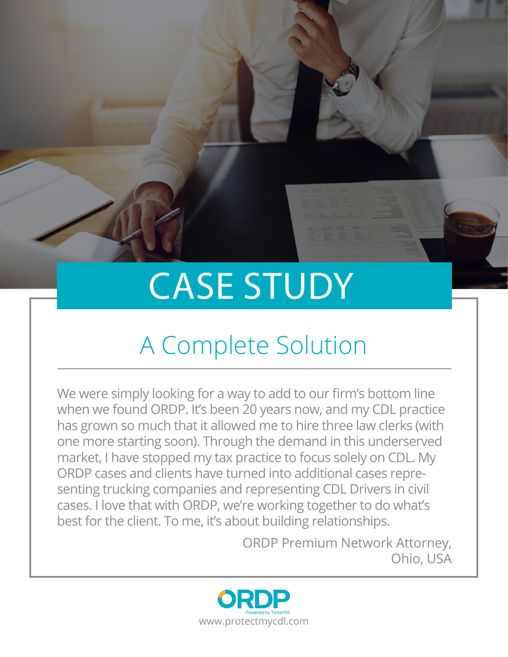# CASE STUDY

# A Complete Solution

We were simply looking for a way to add to our firm's bottom line when we found ORDP. It's been 20 years now, and my CDL practice has grown so much that it allowed me to hire three law clerks (with one more starting soon). Through the demand in this underserved market, I have stopped my tax practice to focus solely on CDL. My ORDP cases and clients have turned into additional cases representing trucking companies and representing CDL Drivers in civil cases. I love that with ORDP, we're working together to do what's best for the client. To me, it's about building relationships.

> ORDP Premium Network Attorney, Ohio, USA